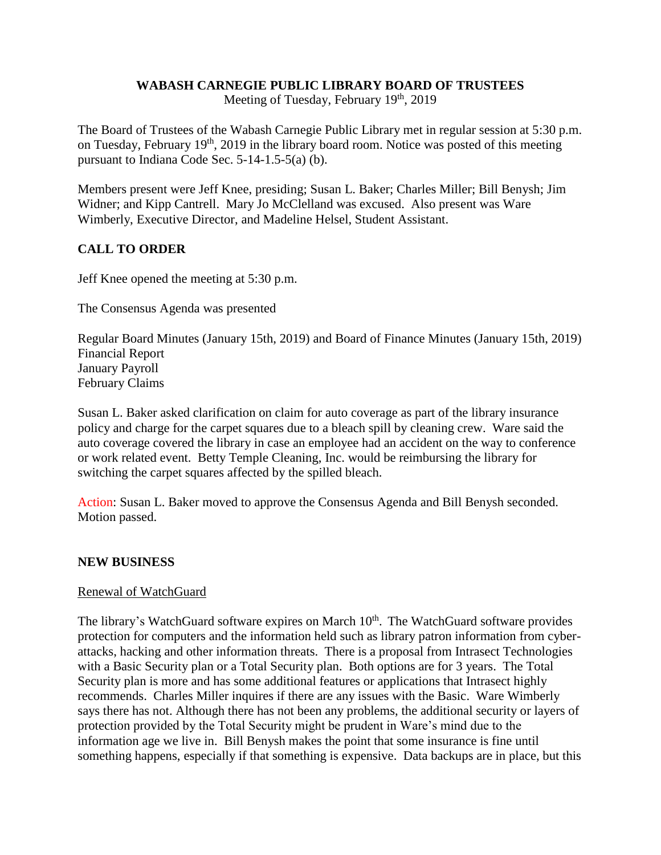### **WABASH CARNEGIE PUBLIC LIBRARY BOARD OF TRUSTEES**

Meeting of Tuesday, February 19<sup>th</sup>, 2019

The Board of Trustees of the Wabash Carnegie Public Library met in regular session at 5:30 p.m. on Tuesday, February  $19<sup>th</sup>$ , 2019 in the library board room. Notice was posted of this meeting pursuant to Indiana Code Sec. 5-14-1.5-5(a) (b).

Members present were Jeff Knee, presiding; Susan L. Baker; Charles Miller; Bill Benysh; Jim Widner; and Kipp Cantrell. Mary Jo McClelland was excused. Also present was Ware Wimberly, Executive Director, and Madeline Helsel, Student Assistant.

# **CALL TO ORDER**

Jeff Knee opened the meeting at 5:30 p.m.

The Consensus Agenda was presented

Regular Board Minutes (January 15th, 2019) and Board of Finance Minutes (January 15th, 2019) Financial Report January Payroll February Claims

Susan L. Baker asked clarification on claim for auto coverage as part of the library insurance policy and charge for the carpet squares due to a bleach spill by cleaning crew. Ware said the auto coverage covered the library in case an employee had an accident on the way to conference or work related event. Betty Temple Cleaning, Inc. would be reimbursing the library for switching the carpet squares affected by the spilled bleach.

Action: Susan L. Baker moved to approve the Consensus Agenda and Bill Benysh seconded. Motion passed.

#### **NEW BUSINESS**

#### Renewal of WatchGuard

The library's WatchGuard software expires on March 10<sup>th</sup>. The WatchGuard software provides protection for computers and the information held such as library patron information from cyberattacks, hacking and other information threats. There is a proposal from Intrasect Technologies with a Basic Security plan or a Total Security plan. Both options are for 3 years. The Total Security plan is more and has some additional features or applications that Intrasect highly recommends. Charles Miller inquires if there are any issues with the Basic. Ware Wimberly says there has not. Although there has not been any problems, the additional security or layers of protection provided by the Total Security might be prudent in Ware's mind due to the information age we live in. Bill Benysh makes the point that some insurance is fine until something happens, especially if that something is expensive. Data backups are in place, but this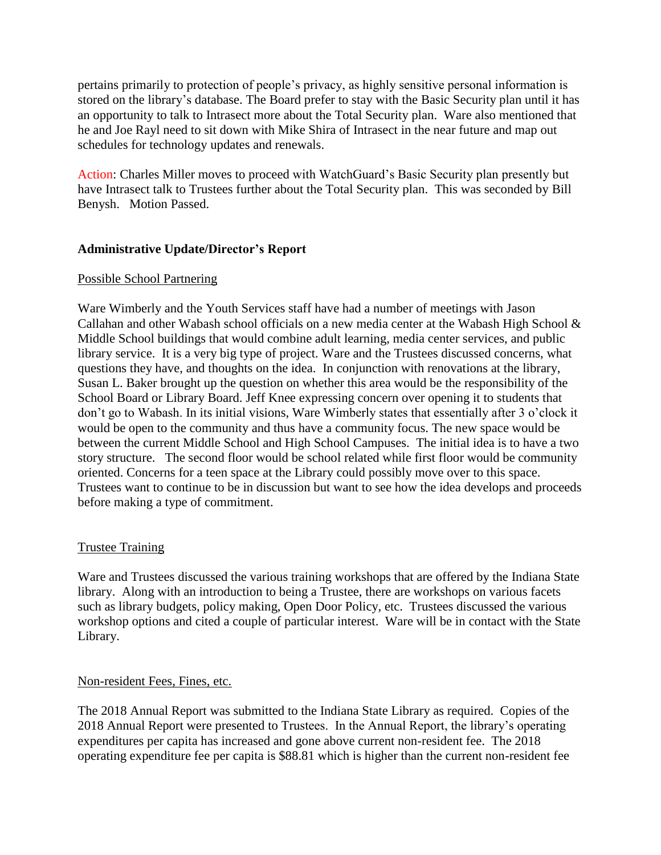pertains primarily to protection of people's privacy, as highly sensitive personal information is stored on the library's database. The Board prefer to stay with the Basic Security plan until it has an opportunity to talk to Intrasect more about the Total Security plan. Ware also mentioned that he and Joe Rayl need to sit down with Mike Shira of Intrasect in the near future and map out schedules for technology updates and renewals.

Action: Charles Miller moves to proceed with WatchGuard's Basic Security plan presently but have Intrasect talk to Trustees further about the Total Security plan. This was seconded by Bill Benysh. Motion Passed.

## **Administrative Update/Director's Report**

### Possible School Partnering

Ware Wimberly and the Youth Services staff have had a number of meetings with Jason Callahan and other Wabash school officials on a new media center at the Wabash High School & Middle School buildings that would combine adult learning, media center services, and public library service. It is a very big type of project. Ware and the Trustees discussed concerns, what questions they have, and thoughts on the idea. In conjunction with renovations at the library, Susan L. Baker brought up the question on whether this area would be the responsibility of the School Board or Library Board. Jeff Knee expressing concern over opening it to students that don't go to Wabash. In its initial visions, Ware Wimberly states that essentially after 3 o'clock it would be open to the community and thus have a community focus. The new space would be between the current Middle School and High School Campuses. The initial idea is to have a two story structure. The second floor would be school related while first floor would be community oriented. Concerns for a teen space at the Library could possibly move over to this space. Trustees want to continue to be in discussion but want to see how the idea develops and proceeds before making a type of commitment.

## Trustee Training

Ware and Trustees discussed the various training workshops that are offered by the Indiana State library. Along with an introduction to being a Trustee, there are workshops on various facets such as library budgets, policy making, Open Door Policy, etc. Trustees discussed the various workshop options and cited a couple of particular interest. Ware will be in contact with the State Library.

#### Non-resident Fees, Fines, etc.

The 2018 Annual Report was submitted to the Indiana State Library as required. Copies of the 2018 Annual Report were presented to Trustees. In the Annual Report, the library's operating expenditures per capita has increased and gone above current non-resident fee. The 2018 operating expenditure fee per capita is \$88.81 which is higher than the current non-resident fee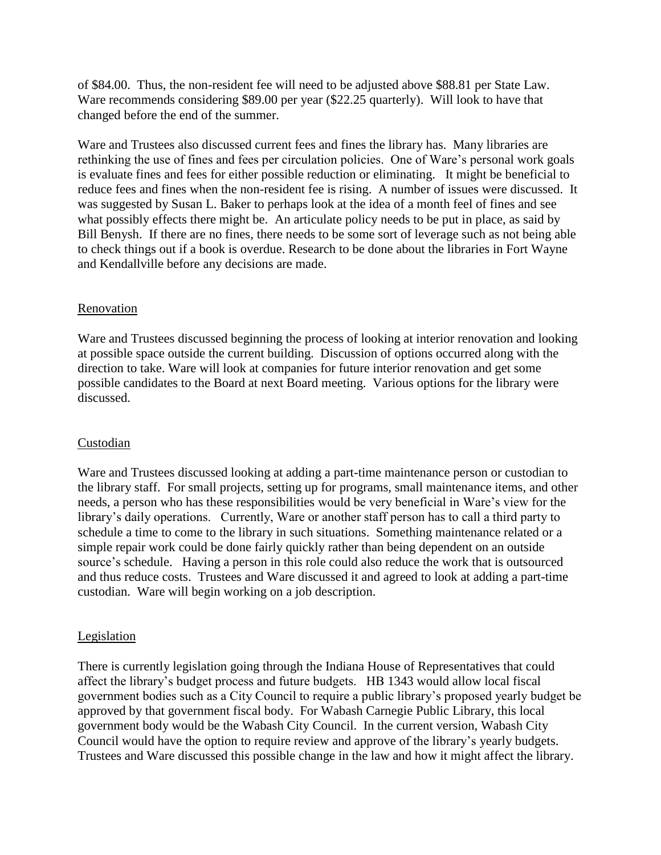of \$84.00. Thus, the non-resident fee will need to be adjusted above \$88.81 per State Law. Ware recommends considering \$89.00 per year (\$22.25 quarterly). Will look to have that changed before the end of the summer.

Ware and Trustees also discussed current fees and fines the library has. Many libraries are rethinking the use of fines and fees per circulation policies. One of Ware's personal work goals is evaluate fines and fees for either possible reduction or eliminating. It might be beneficial to reduce fees and fines when the non-resident fee is rising. A number of issues were discussed. It was suggested by Susan L. Baker to perhaps look at the idea of a month feel of fines and see what possibly effects there might be. An articulate policy needs to be put in place, as said by Bill Benysh. If there are no fines, there needs to be some sort of leverage such as not being able to check things out if a book is overdue. Research to be done about the libraries in Fort Wayne and Kendallville before any decisions are made.

### Renovation

Ware and Trustees discussed beginning the process of looking at interior renovation and looking at possible space outside the current building. Discussion of options occurred along with the direction to take. Ware will look at companies for future interior renovation and get some possible candidates to the Board at next Board meeting. Various options for the library were discussed.

## Custodian

Ware and Trustees discussed looking at adding a part-time maintenance person or custodian to the library staff. For small projects, setting up for programs, small maintenance items, and other needs, a person who has these responsibilities would be very beneficial in Ware's view for the library's daily operations. Currently, Ware or another staff person has to call a third party to schedule a time to come to the library in such situations. Something maintenance related or a simple repair work could be done fairly quickly rather than being dependent on an outside source's schedule. Having a person in this role could also reduce the work that is outsourced and thus reduce costs. Trustees and Ware discussed it and agreed to look at adding a part-time custodian. Ware will begin working on a job description.

#### Legislation

There is currently legislation going through the Indiana House of Representatives that could affect the library's budget process and future budgets. HB 1343 would allow local fiscal government bodies such as a City Council to require a public library's proposed yearly budget be approved by that government fiscal body. For Wabash Carnegie Public Library, this local government body would be the Wabash City Council. In the current version, Wabash City Council would have the option to require review and approve of the library's yearly budgets. Trustees and Ware discussed this possible change in the law and how it might affect the library.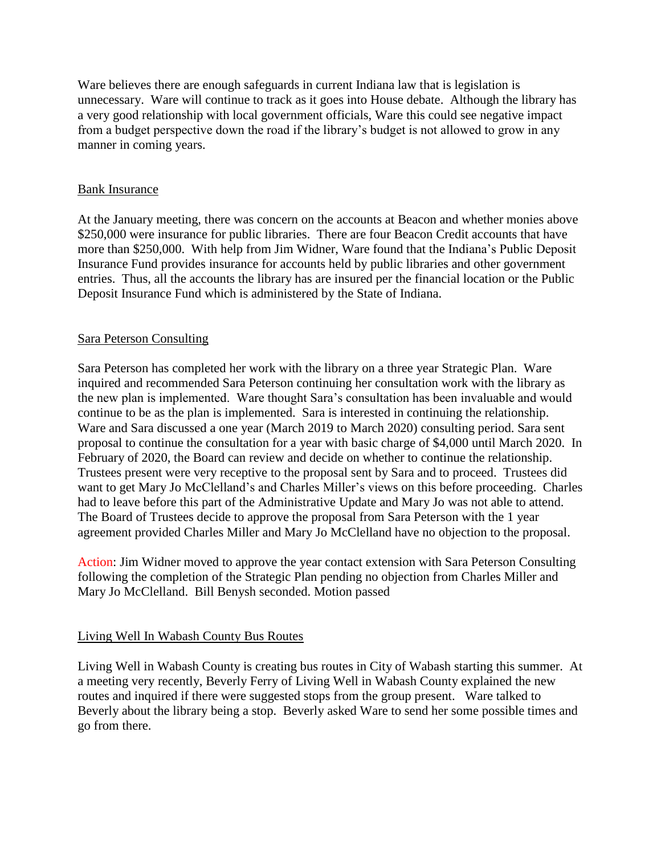Ware believes there are enough safeguards in current Indiana law that is legislation is unnecessary. Ware will continue to track as it goes into House debate. Although the library has a very good relationship with local government officials, Ware this could see negative impact from a budget perspective down the road if the library's budget is not allowed to grow in any manner in coming years.

### Bank Insurance

At the January meeting, there was concern on the accounts at Beacon and whether monies above \$250,000 were insurance for public libraries. There are four Beacon Credit accounts that have more than \$250,000. With help from Jim Widner, Ware found that the Indiana's Public Deposit Insurance Fund provides insurance for accounts held by public libraries and other government entries. Thus, all the accounts the library has are insured per the financial location or the Public Deposit Insurance Fund which is administered by the State of Indiana.

### Sara Peterson Consulting

Sara Peterson has completed her work with the library on a three year Strategic Plan. Ware inquired and recommended Sara Peterson continuing her consultation work with the library as the new plan is implemented. Ware thought Sara's consultation has been invaluable and would continue to be as the plan is implemented. Sara is interested in continuing the relationship. Ware and Sara discussed a one year (March 2019 to March 2020) consulting period. Sara sent proposal to continue the consultation for a year with basic charge of \$4,000 until March 2020. In February of 2020, the Board can review and decide on whether to continue the relationship. Trustees present were very receptive to the proposal sent by Sara and to proceed. Trustees did want to get Mary Jo McClelland's and Charles Miller's views on this before proceeding. Charles had to leave before this part of the Administrative Update and Mary Jo was not able to attend. The Board of Trustees decide to approve the proposal from Sara Peterson with the 1 year agreement provided Charles Miller and Mary Jo McClelland have no objection to the proposal.

Action: Jim Widner moved to approve the year contact extension with Sara Peterson Consulting following the completion of the Strategic Plan pending no objection from Charles Miller and Mary Jo McClelland. Bill Benysh seconded. Motion passed

## Living Well In Wabash County Bus Routes

Living Well in Wabash County is creating bus routes in City of Wabash starting this summer. At a meeting very recently, Beverly Ferry of Living Well in Wabash County explained the new routes and inquired if there were suggested stops from the group present. Ware talked to Beverly about the library being a stop. Beverly asked Ware to send her some possible times and go from there.